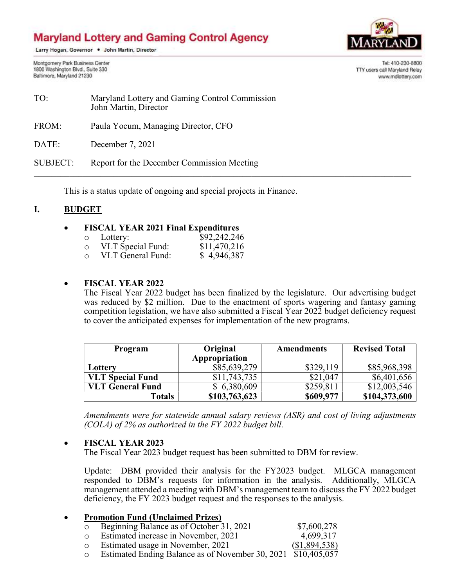# **Maryland Lottery and Gaming Control Agency**

Larry Hogan, Governor . John Martin, Director

TTY users call Maryland Relay

Tel: 410-230-8800

www.mdlottery.com

Montgomery Park Business Center 1800 Washington Blvd., Suite 330 Baltimore, Maryland 21230

| TO:             | Maryland Lottery and Gaming Control Commission<br>John Martin, Director |
|-----------------|-------------------------------------------------------------------------|
| FROM:           | Paula Yocum, Managing Director, CFO                                     |
| DATE:           | December 7, 2021                                                        |
| <b>SUBJECT:</b> | Report for the December Commission Meeting                              |

This is a status update of ongoing and special projects in Finance.

## I. BUDGET

#### FISCAL YEAR 2021 Final Expenditures

| $\circ$ | Lottery:          | \$92,242,246 |
|---------|-------------------|--------------|
| $\circ$ | VLT Special Fund: | \$11,470,216 |
| $\cap$  | VLT General Fund: | \$4,946,387  |

#### FISCAL YEAR 2022

The Fiscal Year 2022 budget has been finalized by the legislature. Our advertising budget was reduced by \$2 million. Due to the enactment of sports wagering and fantasy gaming competition legislation, we have also submitted a Fiscal Year 2022 budget deficiency request to cover the anticipated expenses for implementation of the new programs.

| <b>Program</b>          | Original      | <b>Amendments</b> | <b>Revised Total</b> |
|-------------------------|---------------|-------------------|----------------------|
|                         | Appropriation |                   |                      |
| Lottery                 | \$85,639,279  | \$329,119         | \$85,968,398         |
| <b>VLT Special Fund</b> | \$11,743,735  | \$21,047          | \$6,401,656          |
| <b>VLT General Fund</b> | \$6,380,609   | \$259,811         | \$12,003,546         |
| <b>Totals</b>           | \$103,763,623 | \$609,977         | \$104,373,600        |

Amendments were for statewide annual salary reviews (ASR) and cost of living adjustments (COLA) of 2% as authorized in the FY 2022 budget bill.

## FISCAL YEAR 2023

The Fiscal Year 2023 budget request has been submitted to DBM for review.

Update: DBM provided their analysis for the FY2023 budget. MLGCA management responded to DBM's requests for information in the analysis. Additionally, MLGCA management attended a meeting with DBM's management team to discuss the FY 2022 budget deficiency, the FY 2023 budget request and the responses to the analysis.

| $\bullet$ | <b>Promotion Fund (Unclaimed Prizes)</b> |                                                               |             |
|-----------|------------------------------------------|---------------------------------------------------------------|-------------|
|           |                                          | Beginning Balance as of October 31, 2021                      | \$7,600,278 |
|           |                                          | Estimated increase in November, 2021                          | 4,699,317   |
|           |                                          | Estimated usage in November, 2021                             | \$1,894,538 |
|           |                                          | Estimated Ending Balance as of November 30, 2021 \$10,405,057 |             |